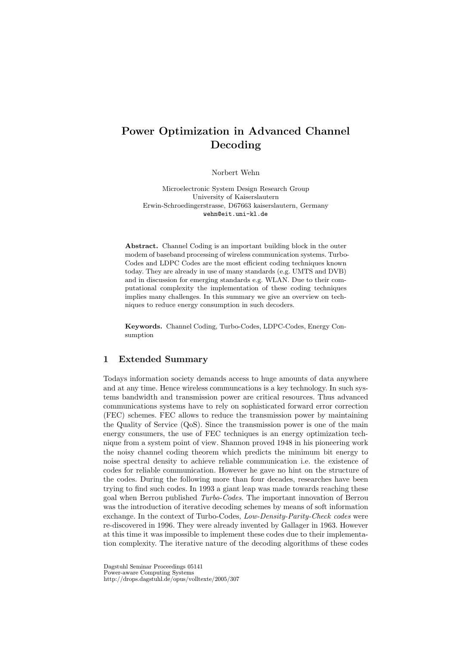## Power Optimization in Advanced Channel Decoding

Norbert Wehn

Microelectronic System Design Research Group University of Kaiserslautern Erwin-Schroedingerstrasse, D67663 kaiserslautern, Germany wehn@eit.uni-kl.de

Abstract. Channel Coding is an important building block in the outer modem of baseband processing of wireless communication systems. Turbo-Codes and LDPC Codes are the most efficient coding techniques known today. They are already in use of many standards (e.g. UMTS and DVB) and in discussion for emerging standards e.g. WLAN. Due to their computational complexity the implementation of these coding techniques implies many challenges. In this summary we give an overview on techniques to reduce energy consumption in such decoders.

Keywords. Channel Coding, Turbo-Codes, LDPC-Codes, Energy Consumption

## 1 Extended Summary

Todays information society demands access to huge amounts of data anywhere and at any time. Hence wireless communcations is a key technology. In such systems bandwidth and transmission power are critical resources. Thus advanced communications systems have to rely on sophisticated forward error correction (FEC) schemes. FEC allows to reduce the transmission power by maintaining the Quality of Service (QoS). Since the transmission power is one of the main energy consumers, the use of FEC techniques is an energy optimization technique from a system point of view. Shannon proved 1948 in his pioneering work the noisy channel coding theorem which predicts the minimum bit energy to noise spectral density to achieve reliable communication i.e. the existence of codes for reliable communication. However he gave no hint on the structure of the codes. During the following more than four decades, researches have been trying to find such codes. In 1993 a giant leap was made towards reaching these goal when Berrou published Turbo-Codes. The important innovation of Berrou was the introduction of iterative decoding schemes by means of soft information exchange. In the context of Turbo-Codes, Low-Density-Parity-Check codes were re-discovered in 1996. They were already invented by Gallager in 1963. However at this time it was impossible to implement these codes due to their implementation complexity. The iterative nature of the decoding algorithms of these codes

Dagstuhl Seminar Proceedings 05141

Power-aware Computing Systems

http://drops.dagstuhl.de/opus/volltexte/2005/307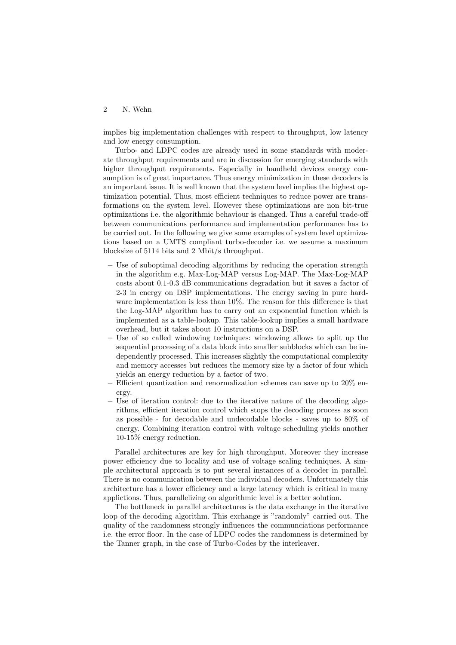## 2 N. Wehn

implies big implementation challenges with respect to throughput, low latency and low energy consumption.

Turbo- and LDPC codes are already used in some standards with moderate throughput requirements and are in discussion for emerging standards with higher throughput requirements. Especially in handheld devices energy consumption is of great importance. Thus energy minimization in these decoders is an important issue. It is well known that the system level implies the highest optimization potential. Thus, most efficient techniques to reduce power are transformations on the system level. However these optimizations are non bit-true optimizations i.e. the algorithmic behaviour is changed. Thus a careful trade-off between communications performance and implementation performance has to be carried out. In the following we give some examples of system level optimizations based on a UMTS compliant turbo-decoder i.e. we assume a maximum blocksize of 5114 bits and 2 Mbit/s throughput.

- Use of suboptimal decoding algorithms by reducing the operation strength in the algorithm e.g. Max-Log-MAP versus Log-MAP. The Max-Log-MAP costs about 0.1-0.3 dB communications degradation but it saves a factor of 2-3 in energy on DSP implementations. The energy saving in pure hardware implementation is less than 10%. The reason for this difference is that the Log-MAP algorithm has to carry out an exponential function which is implemented as a table-lookup. This table-lookup implies a small hardware overhead, but it takes about 10 instructions on a DSP.
- Use of so called windowing techniques: windowing allows to split up the sequential processing of a data block into smaller subblocks which can be independently processed. This increases slightly the computational complexity and memory accesses but reduces the memory size by a factor of four which yields an energy reduction by a factor of two.
- Efficient quantization and renormalization schemes can save up to  $20\%$  energy.
- Use of iteration control: due to the iterative nature of the decoding algorithms, efficient iteration control which stops the decoding process as soon as possible - for decodable and undecodable blocks - saves up to 80% of energy. Combining iteration control with voltage scheduling yields another 10-15% energy reduction.

Parallel architectures are key for high throughput. Moreover they increase power efficiency due to locality and use of voltage scaling techniques. A simple architectural approach is to put several instances of a decoder in parallel. There is no communication between the individual decoders. Unfortunately this architecture has a lower efficiency and a large latency which is critical in many applictions. Thus, parallelizing on algorithmic level is a better solution.

The bottleneck in parallel architectures is the data exchange in the iterative loop of the decoding algorithm. This exchange is "randomly" carried out. The quality of the randomness strongly influences the communciations performance i.e. the error floor. In the case of LDPC codes the randomness is determined by the Tanner graph, in the case of Turbo-Codes by the interleaver.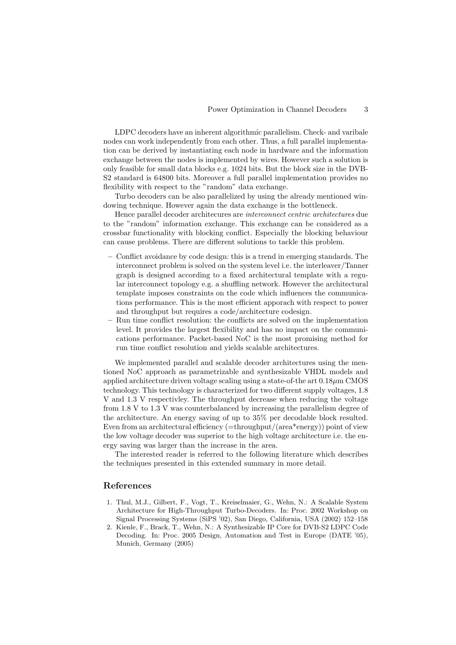LDPC decoders have an inherent algorithmic parallelism. Check- and varibale nodes can work independently from each other. Thus, a full parallel implementation can be derived by instantiating each node in hardware and the information exchange between the nodes is implemented by wires. However such a solution is only feasible for small data blocks e.g. 1024 bits. But the block size in the DVB-S2 standard is 64800 bits. Moreover a full parallel implementation provides no flexibility with respect to the "random" data exchange.

Turbo decoders can be also parallelized by using the already mentioned windowing technique. However again the data exchange is the bottleneck.

Hence parallel decoder architecures are interconnect centric architectures due to the "random" information exchange. This exchange can be considered as a crossbar functionality with blocking conflict. Especially the blocking behaviour can cause problems. There are different solutions to tackle this problem.

- Conflict avoidance by code design: this is a trend in emerging standards. The interconnect problem is solved on the system level i.e. the interleaver/Tanner graph is designed according to a fixed architectural template with a regular interconnect topology e.g. a shuffling network. However the architectural template imposes constraints on the code which influences the communications performance. This is the most efficient apporach with respect to power and throughput but requires a code/architecture codesign.
- Run time conflict resolution: the conflicts are solved on the implementation level. It provides the largest flexibility and has no impact on the communications performance. Packet-based NoC is the most promising method for run time conflict resolution and yields scalable architectures.

We implemented parallel and scalable decoder architectures using the mentioned NoC approach as parametrizable and synthesizable VHDL models and applied architecture driven voltage scaling using a state-of-the art  $0.18 \mu m$  CMOS technology. This technology is characterized for two different supply voltages, 1.8 V and 1.3 V respectivley. The throughput decrease when reducing the voltage from 1.8 V to 1.3 V was counterbalanced by increasing the parallelism degree of the architecture. An energy saving of up to 35% per decodable block resulted. Even from an architectural efficiency (=throughput/(area\*energy)) point of view the low voltage decoder was superior to the high voltage architecture i.e. the energy saving was larger than the increase in the area.

The interested reader is referred to the following literature which describes the techniques presented in this extended summary in more detail.

## References

- 1. Thul, M.J., Gilbert, F., Vogt, T., Kreiselmaier, G., Wehn, N.: A Scalable System Architecture for High-Throughput Turbo-Decoders. In: Proc. 2002 Workshop on Signal Processing Systems (SiPS '02), San Diego, California, USA (2002) 152–158
- 2. Kienle, F., Brack, T., Wehn, N.: A Synthesizable IP Core for DVB-S2 LDPC Code Decoding. In: Proc. 2005 Design, Automation and Test in Europe (DATE '05), Munich, Germany (2005)